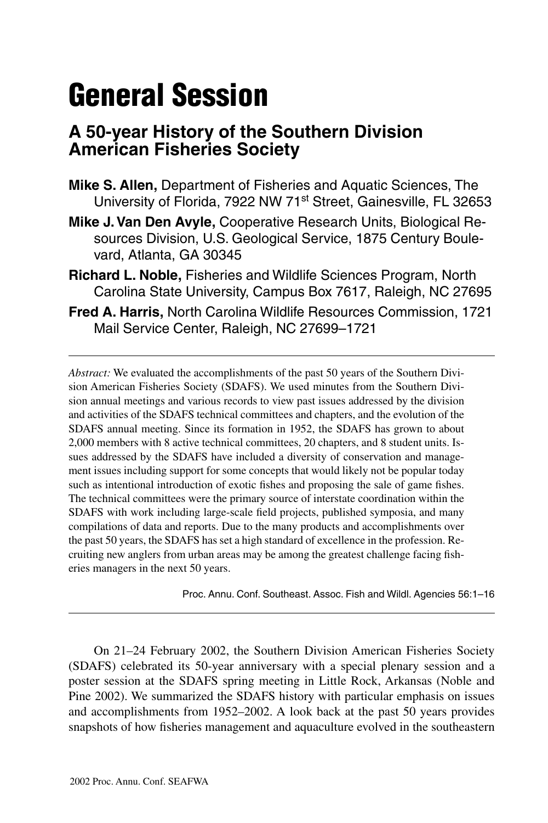# **General Session**

## **A 50-year History of the Southern Division American Fisheries Society**

- **Mike S. Allen,** Department of Fisheries and Aquatic Sciences, The University of Florida, 7922 NW 71st Street, Gainesville, FL 32653
- **Mike J. Van Den Avyle,** Cooperative Research Units, Biological Resources Division, U.S. Geological Service, 1875 Century Boulevard, Atlanta, GA 30345
- **Richard L. Noble,** Fisheries and Wildlife Sciences Program, North Carolina State University, Campus Box 7617, Raleigh, NC 27695
- **Fred A. Harris,** North Carolina Wildlife Resources Commission, 1721 Mail Service Center, Raleigh, NC 27699–1721

*Abstract:* We evaluated the accomplishments of the past 50 years of the Southern Division American Fisheries Society (SDAFS). We used minutes from the Southern Division annual meetings and various records to view past issues addressed by the division and activities of the SDAFS technical committees and chapters, and the evolution of the SDAFS annual meeting. Since its formation in 1952, the SDAFS has grown to about 2,000 members with 8 active technical committees, 20 chapters, and 8 student units. Issues addressed by the SDAFS have included a diversity of conservation and management issues including support for some concepts that would likely not be popular today such as intentional introduction of exotic fishes and proposing the sale of game fishes. The technical committees were the primary source of interstate coordination within the SDAFS with work including large-scale field projects, published symposia, and many compilations of data and reports. Due to the many products and accomplishments over the past 50 years, the SDAFS has set a high standard of excellence in the profession. Recruiting new anglers from urban areas may be among the greatest challenge facing fisheries managers in the next 50 years.

Proc. Annu. Conf. Southeast. Assoc. Fish and Wildl. Agencies 56:1–16

On 21–24 February 2002, the Southern Division American Fisheries Society (SDAFS) celebrated its 50-year anniversary with a special plenary session and a poster session at the SDAFS spring meeting in Little Rock, Arkansas (Noble and Pine 2002). We summarized the SDAFS history with particular emphasis on issues and accomplishments from 1952–2002. A look back at the past 50 years provides snapshots of how fisheries management and aquaculture evolved in the southeastern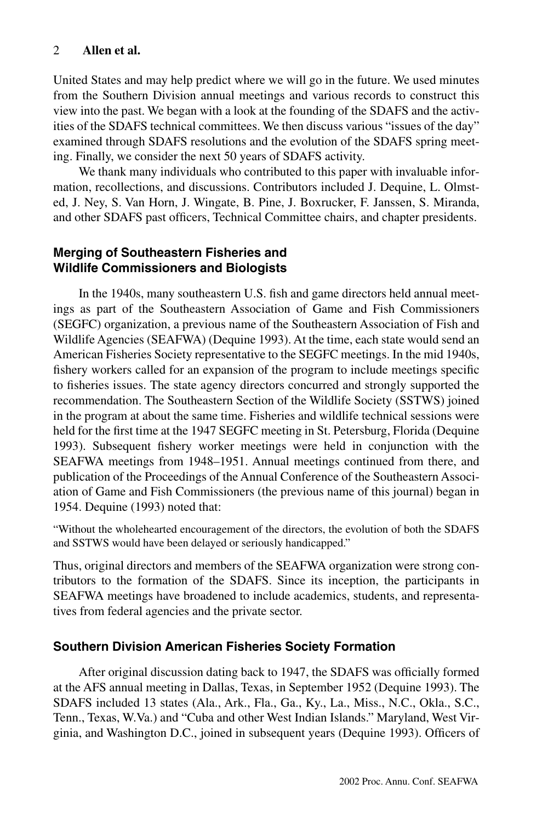United States and may help predict where we will go in the future. We used minutes from the Southern Division annual meetings and various records to construct this view into the past. We began with a look at the founding of the SDAFS and the activities of the SDAFS technical committees. We then discuss various "issues of the day" examined through SDAFS resolutions and the evolution of the SDAFS spring meeting. Finally, we consider the next 50 years of SDAFS activity.

We thank many individuals who contributed to this paper with invaluable information, recollections, and discussions. Contributors included J. Dequine, L. Olmsted, J. Ney, S. Van Horn, J. Wingate, B. Pine, J. Boxrucker, F. Janssen, S. Miranda, and other SDAFS past officers, Technical Committee chairs, and chapter presidents.

## **Merging of Southeastern Fisheries and Wildlife Commissioners and Biologists**

In the 1940s, many southeastern U.S. fish and game directors held annual meetings as part of the Southeastern Association of Game and Fish Commissioners (SEGFC) organization, a previous name of the Southeastern Association of Fish and Wildlife Agencies (SEAFWA) (Dequine 1993). At the time, each state would send an American Fisheries Society representative to the SEGFC meetings. In the mid 1940s, fishery workers called for an expansion of the program to include meetings specific to fisheries issues. The state agency directors concurred and strongly supported the recommendation. The Southeastern Section of the Wildlife Society (SSTWS) joined in the program at about the same time. Fisheries and wildlife technical sessions were held for the first time at the 1947 SEGFC meeting in St. Petersburg, Florida (Dequine 1993). Subsequent fishery worker meetings were held in conjunction with the SEAFWA meetings from 1948–1951. Annual meetings continued from there, and publication of the Proceedings of the Annual Conference of the Southeastern Association of Game and Fish Commissioners (the previous name of this journal) began in 1954. Dequine (1993) noted that:

"Without the wholehearted encouragement of the directors, the evolution of both the SDAFS and SSTWS would have been delayed or seriously handicapped."

Thus, original directors and members of the SEAFWA organization were strong contributors to the formation of the SDAFS. Since its inception, the participants in SEAFWA meetings have broadened to include academics, students, and representatives from federal agencies and the private sector.

## **Southern Division American Fisheries Society Formation**

After original discussion dating back to 1947, the SDAFS was officially formed at the AFS annual meeting in Dallas, Texas, in September 1952 (Dequine 1993). The SDAFS included 13 states (Ala., Ark., Fla., Ga., Ky., La., Miss., N.C., Okla., S.C., Tenn., Texas, W.Va.) and "Cuba and other West Indian Islands." Maryland, West Virginia, and Washington D.C., joined in subsequent years (Dequine 1993). Officers of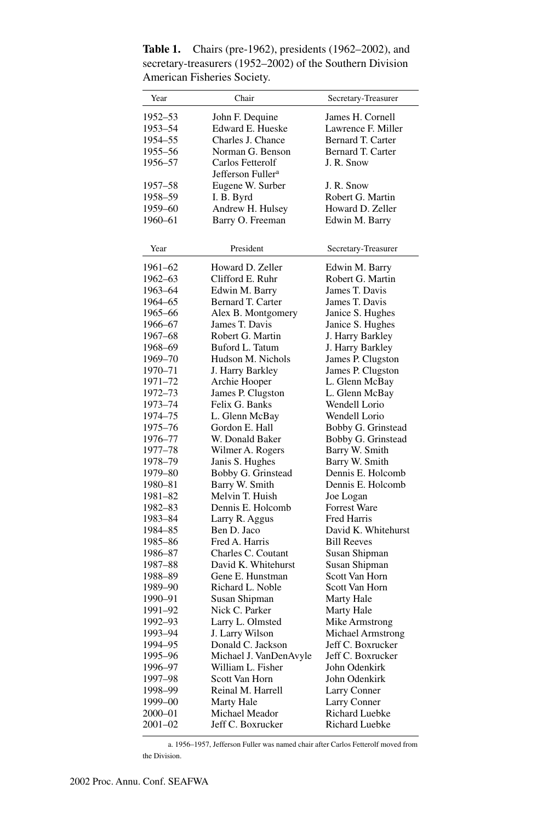| Year    | Chair                         | Secretary-Treasurer |
|---------|-------------------------------|---------------------|
| 1952–53 | John F. Dequine               | James H. Cornell    |
| 1953–54 | Edward E. Hueske              | Lawrence F. Miller  |
| 1954-55 | Charles J. Chance             | Bernard T. Carter   |
| 1955–56 | Norman G. Benson              | Bernard T. Carter   |
| 1956–57 | Carlos Fetterolf              | J. R. Snow          |
|         | Jefferson Fuller <sup>a</sup> |                     |
| 1957–58 | Eugene W. Surber              | J. R. Snow          |
| 1958–59 | I. B. Byrd                    | Robert G. Martin    |
| 1959-60 | Andrew H. Hulsey              | Howard D. Zeller    |
| 1960–61 | Barry O. Freeman              | Edwin M. Barry      |
|         |                               |                     |
|         |                               |                     |
| Year    | President                     | Secretary-Treasurer |
| 1961–62 | Howard D. Zeller              | Edwin M. Barry      |
| 1962–63 | Clifford E. Ruhr              | Robert G. Martin    |
| 1963-64 | Edwin M. Barry                | James T. Davis      |
| 1964–65 | Bernard T. Carter             | James T. Davis      |
| 1965–66 | Alex B. Montgomery            | Janice S. Hughes    |
| 1966–67 | James T. Davis                | Janice S. Hughes    |
| 1967-68 | Robert G. Martin              | J. Harry Barkley    |
| 1968-69 | Buford L. Tatum               | J. Harry Barkley    |
| 1969–70 | Hudson M. Nichols             | James P. Clugston   |
| 1970–71 | J. Harry Barkley              | James P. Clugston   |
| 1971-72 | Archie Hooper                 | L. Glenn McBay      |
| 1972-73 | James P. Clugston             | L. Glenn McBay      |
| 1973–74 | Felix G. Banks                | Wendell Lorio       |
| 1974–75 | L. Glenn McBay                | Wendell Lorio       |
| 1975–76 | Gordon E. Hall                | Bobby G. Grinstead  |
| 1976–77 | W. Donald Baker               | Bobby G. Grinstead  |
| 1977–78 | Wilmer A. Rogers              | Barry W. Smith      |
| 1978–79 | Janis S. Hughes               | Barry W. Smith      |
| 1979–80 | Bobby G. Grinstead            | Dennis E. Holcomb   |
| 1980-81 | Barry W. Smith                | Dennis E. Holcomb   |
| 1981–82 | Melvin T. Huish               | Joe Logan           |
| 1982–83 | Dennis E. Holcomb             | <b>Forrest Ware</b> |
| 1983–84 | Larry R. Aggus                | <b>Fred Harris</b>  |
| 1984-85 | Ben D. Jaco                   | David K. Whitehurst |
| 1985-86 | Fred A. Harris                | <b>Bill Reeves</b>  |
| 1986–87 | Charles C. Coutant            | Susan Shipman       |
| 1987–88 | David K. Whitehurst           | Susan Shipman       |
| 1988-89 | Gene E. Hunstman              | Scott Van Horn      |
| 1989-90 | Richard L. Noble              | Scott Van Horn      |
| 1990–91 | Susan Shipman                 | Marty Hale          |
| 1991–92 | Nick C. Parker                | Marty Hale          |
| 1992–93 | Larry L. Olmsted              | Mike Armstrong      |
| 1993–94 | J. Larry Wilson               | Michael Armstrong   |
| 1994-95 | Donald C. Jackson             | Jeff C. Boxrucker   |
| 1995-96 | Michael J. VanDenAvyle        | Jeff C. Boxrucker   |
| 1996–97 | William L. Fisher             | John Odenkirk       |
| 1997-98 | Scott Van Horn                | John Odenkirk       |
| 1998-99 | Reinal M. Harrell             | Larry Conner        |
| 1999–00 | Marty Hale                    | <b>Larry Conner</b> |
| 2000–01 | Michael Meador                | Richard Luebke      |
| 2001–02 | Jeff C. Boxrucker             | Richard Luebke      |

**Table 1.** Chairs (pre-1962), presidents (1962–2002), and secretary-treasurers (1952–2002) of the Southern Division American Fisheries Society.

a. 1956–1957, Jefferson Fuller was named chair after Carlos Fetterolf moved from the Division.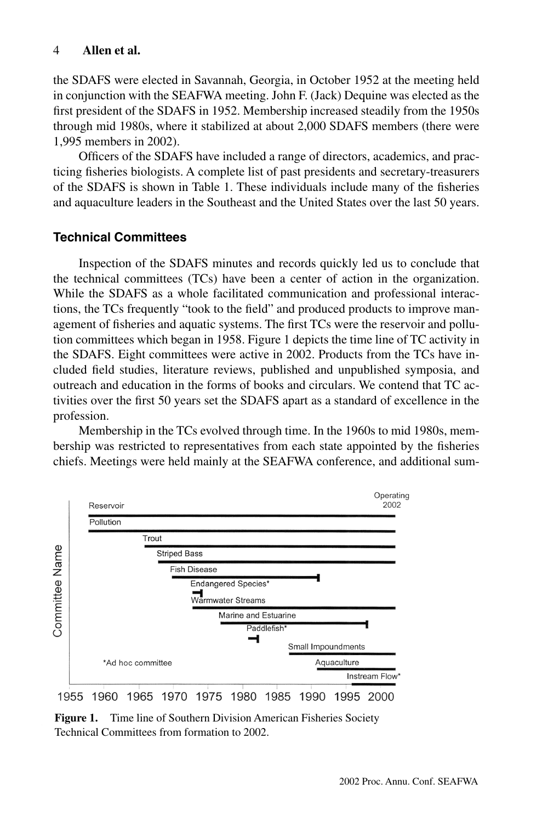the SDAFS were elected in Savannah, Georgia, in October 1952 at the meeting held in conjunction with the SEAFWA meeting. John F. (Jack) Dequine was elected as the first president of the SDAFS in 1952. Membership increased steadily from the 1950s through mid 1980s, where it stabilized at about 2,000 SDAFS members (there were 1,995 members in 2002).

Officers of the SDAFS have included a range of directors, academics, and practicing fisheries biologists. A complete list of past presidents and secretary-treasurers of the SDAFS is shown in Table 1. These individuals include many of the fisheries and aquaculture leaders in the Southeast and the United States over the last 50 years.

## **Technical Committees**

Inspection of the SDAFS minutes and records quickly led us to conclude that the technical committees (TCs) have been a center of action in the organization. While the SDAFS as a whole facilitated communication and professional interactions, the TCs frequently "took to the field" and produced products to improve management of fisheries and aquatic systems. The first TCs were the reservoir and pollution committees which began in 1958. Figure 1 depicts the time line of TC activity in the SDAFS. Eight committees were active in 2002. Products from the TCs have included field studies, literature reviews, published and unpublished symposia, and outreach and education in the forms of books and circulars. We contend that TC activities over the first 50 years set the SDAFS apart as a standard of excellence in the profession.

Membership in the TCs evolved through time. In the 1960s to mid 1980s, membership was restricted to representatives from each state appointed by the fisheries chiefs. Meetings were held mainly at the SEAFWA conference, and additional sum-



**Figure 1.** Time line of Southern Division American Fisheries Society Technical Committees from formation to 2002.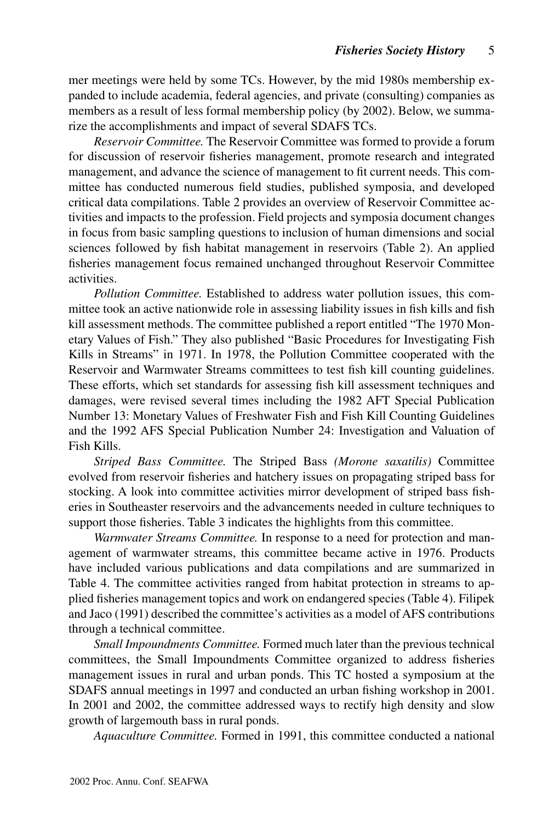mer meetings were held by some TCs. However, by the mid 1980s membership expanded to include academia, federal agencies, and private (consulting) companies as members as a result of less formal membership policy (by 2002). Below, we summarize the accomplishments and impact of several SDAFS TCs.

*Reservoir Committee.* The Reservoir Committee was formed to provide a forum for discussion of reservoir fisheries management, promote research and integrated management, and advance the science of management to fit current needs. This committee has conducted numerous field studies, published symposia, and developed critical data compilations. Table 2 provides an overview of Reservoir Committee activities and impacts to the profession. Field projects and symposia document changes in focus from basic sampling questions to inclusion of human dimensions and social sciences followed by fish habitat management in reservoirs (Table 2). An applied fisheries management focus remained unchanged throughout Reservoir Committee activities.

*Pollution Committee.* Established to address water pollution issues, this committee took an active nationwide role in assessing liability issues in fish kills and fish kill assessment methods. The committee published a report entitled "The 1970 Monetary Values of Fish." They also published "Basic Procedures for Investigating Fish Kills in Streams" in 1971. In 1978, the Pollution Committee cooperated with the Reservoir and Warmwater Streams committees to test fish kill counting guidelines. These efforts, which set standards for assessing fish kill assessment techniques and damages, were revised several times including the 1982 AFT Special Publication Number 13: Monetary Values of Freshwater Fish and Fish Kill Counting Guidelines and the 1992 AFS Special Publication Number 24: Investigation and Valuation of Fish Kills.

*Striped Bass Committee.* The Striped Bass *(Morone saxatilis)* Committee evolved from reservoir fisheries and hatchery issues on propagating striped bass for stocking. A look into committee activities mirror development of striped bass fisheries in Southeaster reservoirs and the advancements needed in culture techniques to support those fisheries. Table 3 indicates the highlights from this committee.

*Warmwater Streams Committee.* In response to a need for protection and management of warmwater streams, this committee became active in 1976. Products have included various publications and data compilations and are summarized in Table 4. The committee activities ranged from habitat protection in streams to applied fisheries management topics and work on endangered species (Table 4). Filipek and Jaco (1991) described the committee's activities as a model of AFS contributions through a technical committee.

*Small Impoundments Committee.* Formed much later than the previous technical committees, the Small Impoundments Committee organized to address fisheries management issues in rural and urban ponds. This TC hosted a symposium at the SDAFS annual meetings in 1997 and conducted an urban fishing workshop in 2001. In 2001 and 2002, the committee addressed ways to rectify high density and slow growth of largemouth bass in rural ponds.

*Aquaculture Committee.* Formed in 1991, this committee conducted a national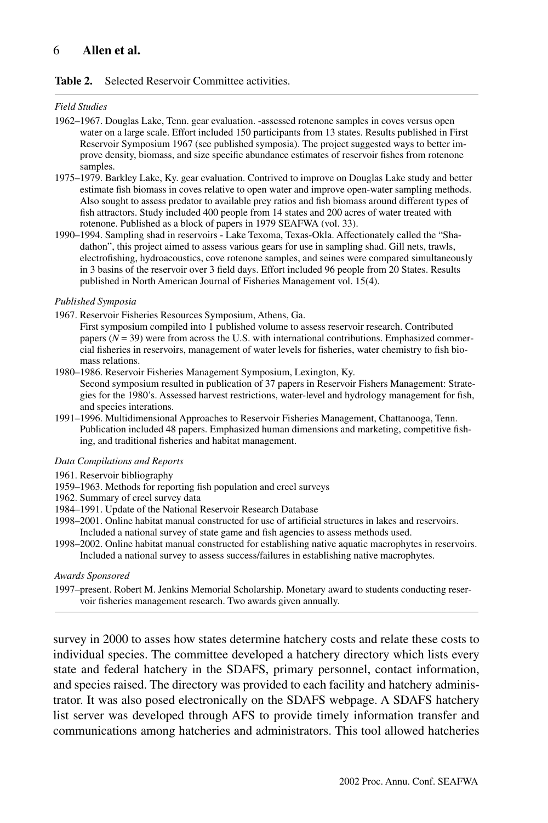#### **Table 2.** Selected Reservoir Committee activities.

#### *Field Studies*

- 1962–1967. Douglas Lake, Tenn. gear evaluation. -assessed rotenone samples in coves versus open water on a large scale. Effort included 150 participants from 13 states. Results published in First Reservoir Symposium 1967 (see published symposia). The project suggested ways to better improve density, biomass, and size specific abundance estimates of reservoir fishes from rotenone samples.
- 1975–1979. Barkley Lake, Ky. gear evaluation. Contrived to improve on Douglas Lake study and better estimate fish biomass in coves relative to open water and improve open-water sampling methods. Also sought to assess predator to available prey ratios and fish biomass around different types of fish attractors. Study included 400 people from 14 states and 200 acres of water treated with rotenone. Published as a block of papers in 1979 SEAFWA (vol. 33).
- 1990–1994. Sampling shad in reservoirs Lake Texoma, Texas-Okla. Affectionately called the "Shadathon", this project aimed to assess various gears for use in sampling shad. Gill nets, trawls, electrofishing, hydroacoustics, cove rotenone samples, and seines were compared simultaneously in 3 basins of the reservoir over 3 field days. Effort included 96 people from 20 States. Results published in North American Journal of Fisheries Management vol. 15(4).

#### *Published Symposia*

- 1967. Reservoir Fisheries Resources Symposium, Athens, Ga.
	- First symposium compiled into 1 published volume to assess reservoir research. Contributed papers  $(N = 39)$  were from across the U.S. with international contributions. Emphasized commercial fisheries in reservoirs, management of water levels for fisheries, water chemistry to fish biomass relations.
- 1980–1986. Reservoir Fisheries Management Symposium, Lexington, Ky. Second symposium resulted in publication of 37 papers in Reservoir Fishers Management: Strategies for the 1980's. Assessed harvest restrictions, water-level and hydrology management for fish, and species interations.
- 1991–1996. Multidimensional Approaches to Reservoir Fisheries Management, Chattanooga, Tenn. Publication included 48 papers. Emphasized human dimensions and marketing, competitive fishing, and traditional fisheries and habitat management.

#### *Data Compilations and Reports*

- 1961. Reservoir bibliography
- 1959–1963. Methods for reporting fish population and creel surveys
- 1962. Summary of creel survey data
- 1984–1991. Update of the National Reservoir Research Database
- 1998–2001. Online habitat manual constructed for use of artificial structures in lakes and reservoirs. Included a national survey of state game and fish agencies to assess methods used.
- 1998–2002. Online habitat manual constructed for establishing native aquatic macrophytes in reservoirs. Included a national survey to assess success/failures in establishing native macrophytes.

*Awards Sponsored*

1997–present. Robert M. Jenkins Memorial Scholarship. Monetary award to students conducting reservoir fisheries management research. Two awards given annually.

survey in 2000 to asses how states determine hatchery costs and relate these costs to individual species. The committee developed a hatchery directory which lists every state and federal hatchery in the SDAFS, primary personnel, contact information, and species raised. The directory was provided to each facility and hatchery administrator. It was also posed electronically on the SDAFS webpage. A SDAFS hatchery list server was developed through AFS to provide timely information transfer and communications among hatcheries and administrators. This tool allowed hatcheries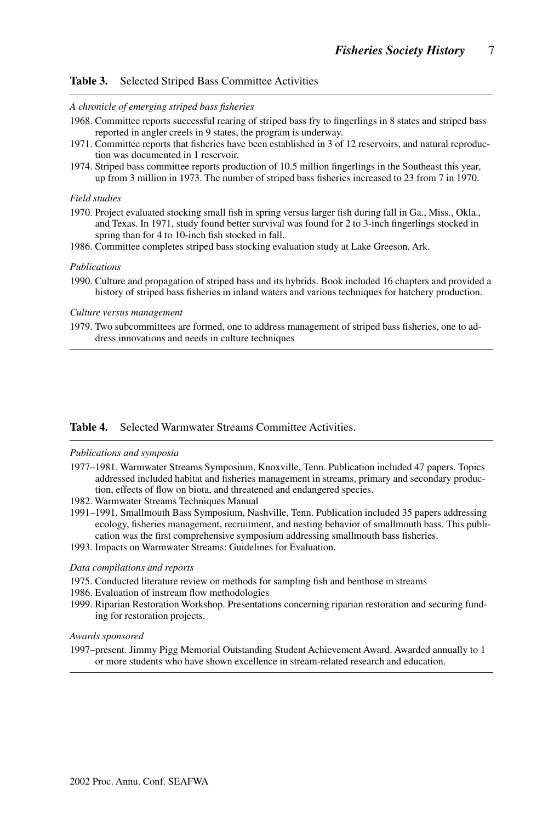#### **Table 3.** Selected Striped Bass Committee Activities

#### *A chronicle of emerging striped bass fisheries*

- 1968. Committee reports successful rearing of striped bass fry to fingerlings in 8 states and striped bass reported in angler creels in 9 states, the program is underway.
- 1971. Committee reports that fisheries have been established in 3 of 12 reservoirs, and natural reproduction was documented in 1 reservoir.
- 1974. Striped bass committee reports production of 10.5 million fingerlings in the Southeast this year, up from 3 million in 1973. The number of striped bass fisheries increased to 23 from 7 in 1970.

#### *Field studies*

- 1970. Project evaluated stocking small fish in spring versus larger fish during fall in Ga., Miss., Okla., and Texas. In 1971, study found better survival was found for 2 to 3-inch fingerlings stocked in spring than for 4 to 10-inch fish stocked in fall.
- 1986. Committee completes striped bass stocking evaluation study at Lake Greeson, Ark.

#### *Publications*

1990. Culture and propagation of striped bass and its hybrids. Book included 16 chapters and provided a history of striped bass fisheries in inland waters and various techniques for hatchery production.

#### *Culture versus management*

1979. Two subcommittees are formed, one to address management of striped bass fisheries, one to address innovations and needs in culture techniques

#### **Table 4.** Selected Warmwater Streams Committee Activities.

#### *Publications and symposia*

- 1977–1981. Warmwater Streams Symposium, Knoxville, Tenn. Publication included 47 papers. Topics addressed included habitat and fisheries management in streams, primary and secondary production, effects of flow on biota, and threatened and endangered species.
- 1982. Warmwater Streams Techniques Manual
- 1991–1991. Smallmouth Bass Symposium, Nashville, Tenn. Publication included 35 papers addressing ecology, fisheries management, recruitment, and nesting behavior of smallmouth bass. This publication was the first comprehensive symposium addressing smallmouth bass fisheries.
- 1993. Impacts on Warmwater Streams: Guidelines for Evaluation.

#### *Data compilations and reports*

- 1975. Conducted literature review on methods for sampling fish and benthose in streams
- 1986. Evaluation of instream flow methodologies
- 1999. Riparian Restoration Workshop. Presentations concerning riparian restoration and securing funding for restoration projects.

#### *Awards sponsored*

1997–present. Jimmy Pigg Memorial Outstanding Student Achievement Award. Awarded annually to 1 or more students who have shown excellence in stream-related research and education.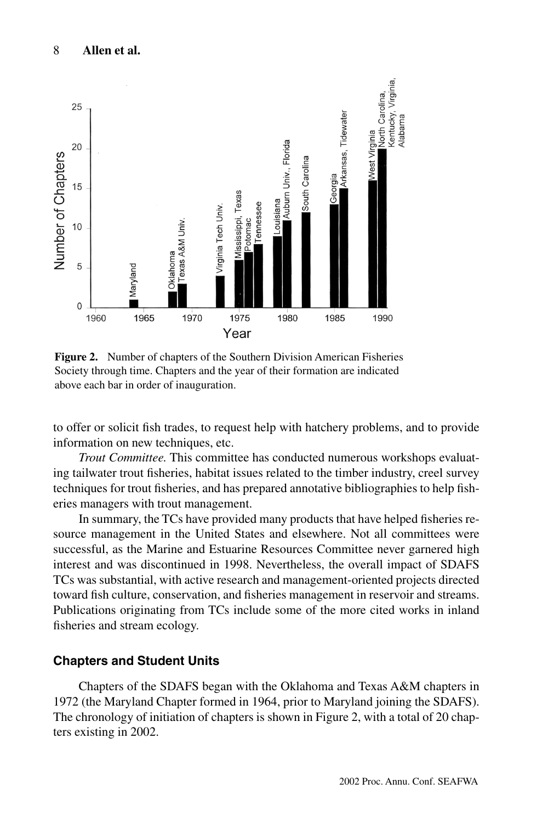

**Figure 2.** Number of chapters of the Southern Division American Fisheries Society through time. Chapters and the year of their formation are indicated above each bar in order of inauguration.

to offer or solicit fish trades, to request help with hatchery problems, and to provide information on new techniques, etc.

*Trout Committee.* This committee has conducted numerous workshops evaluating tailwater trout fisheries, habitat issues related to the timber industry, creel survey techniques for trout fisheries, and has prepared annotative bibliographies to help fisheries managers with trout management.

In summary, the TCs have provided many products that have helped fisheries resource management in the United States and elsewhere. Not all committees were successful, as the Marine and Estuarine Resources Committee never garnered high interest and was discontinued in 1998. Nevertheless, the overall impact of SDAFS TCs was substantial, with active research and management-oriented projects directed toward fish culture, conservation, and fisheries management in reservoir and streams. Publications originating from TCs include some of the more cited works in inland fisheries and stream ecology.

## **Chapters and Student Units**

Chapters of the SDAFS began with the Oklahoma and Texas A&M chapters in 1972 (the Maryland Chapter formed in 1964, prior to Maryland joining the SDAFS). The chronology of initiation of chapters is shown in Figure 2, with a total of 20 chapters existing in 2002.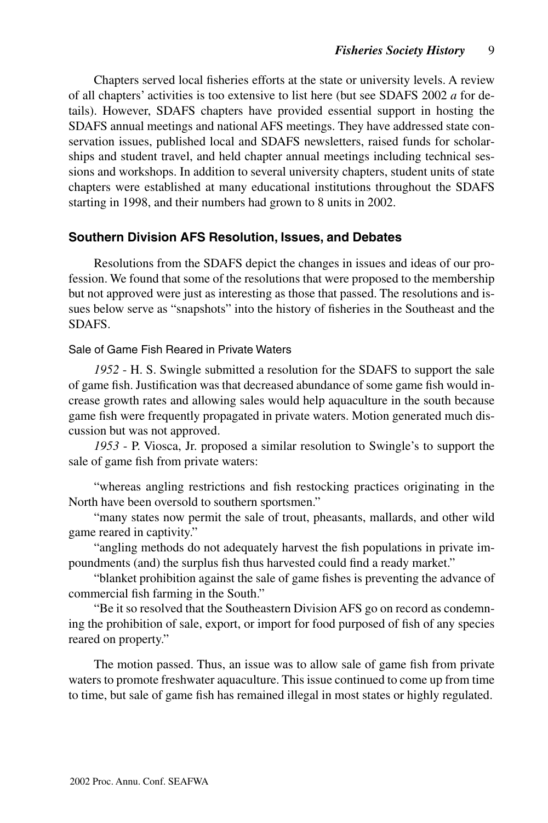Chapters served local fisheries efforts at the state or university levels. A review of all chapters' activities is too extensive to list here (but see SDAFS 2002 *a* for details). However, SDAFS chapters have provided essential support in hosting the SDAFS annual meetings and national AFS meetings. They have addressed state conservation issues, published local and SDAFS newsletters, raised funds for scholarships and student travel, and held chapter annual meetings including technical sessions and workshops. In addition to several university chapters, student units of state chapters were established at many educational institutions throughout the SDAFS starting in 1998, and their numbers had grown to 8 units in 2002.

## **Southern Division AFS Resolution, Issues, and Debates**

Resolutions from the SDAFS depict the changes in issues and ideas of our profession. We found that some of the resolutions that were proposed to the membership but not approved were just as interesting as those that passed. The resolutions and issues below serve as "snapshots" into the history of fisheries in the Southeast and the SDAFS.

#### Sale of Game Fish Reared in Private Waters

*1952* - H. S. Swingle submitted a resolution for the SDAFS to support the sale of game fish. Justification was that decreased abundance of some game fish would increase growth rates and allowing sales would help aquaculture in the south because game fish were frequently propagated in private waters. Motion generated much discussion but was not approved.

*1953* - P. Viosca, Jr. proposed a similar resolution to Swingle's to support the sale of game fish from private waters:

"whereas angling restrictions and fish restocking practices originating in the North have been oversold to southern sportsmen."

"many states now permit the sale of trout, pheasants, mallards, and other wild game reared in captivity."

"angling methods do not adequately harvest the fish populations in private impoundments (and) the surplus fish thus harvested could find a ready market."

"blanket prohibition against the sale of game fishes is preventing the advance of commercial fish farming in the South."

"Be it so resolved that the Southeastern Division AFS go on record as condemning the prohibition of sale, export, or import for food purposed of fish of any species reared on property."

The motion passed. Thus, an issue was to allow sale of game fish from private waters to promote freshwater aquaculture. This issue continued to come up from time to time, but sale of game fish has remained illegal in most states or highly regulated.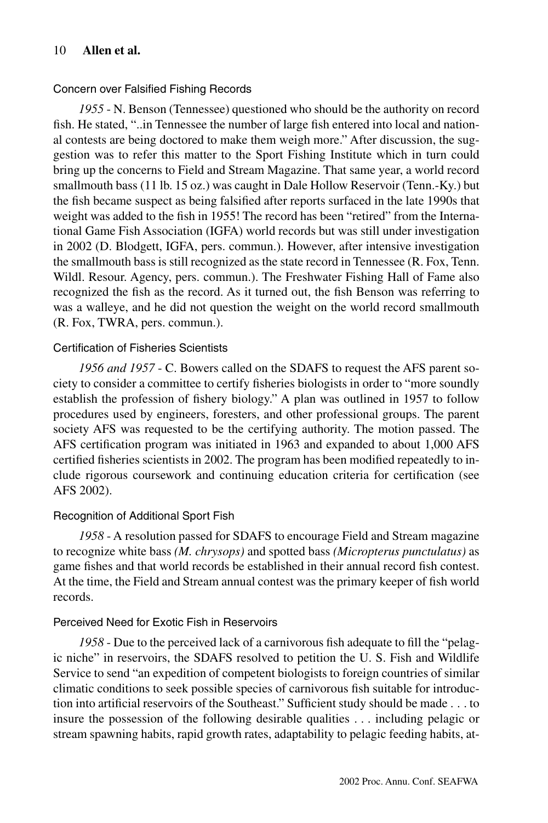#### Concern over Falsified Fishing Records

*1955* - N. Benson (Tennessee) questioned who should be the authority on record fish. He stated, "..in Tennessee the number of large fish entered into local and national contests are being doctored to make them weigh more." After discussion, the suggestion was to refer this matter to the Sport Fishing Institute which in turn could bring up the concerns to Field and Stream Magazine. That same year, a world record smallmouth bass (11 lb. 15 oz.) was caught in Dale Hollow Reservoir (Tenn.-Ky.) but the fish became suspect as being falsified after reports surfaced in the late 1990s that weight was added to the fish in 1955! The record has been "retired" from the International Game Fish Association (IGFA) world records but was still under investigation in 2002 (D. Blodgett, IGFA, pers. commun.). However, after intensive investigation the smallmouth bass is still recognized as the state record in Tennessee (R. Fox, Tenn. Wildl. Resour. Agency, pers. commun.). The Freshwater Fishing Hall of Fame also recognized the fish as the record. As it turned out, the fish Benson was referring to was a walleye, and he did not question the weight on the world record smallmouth (R. Fox, TWRA, pers. commun.).

#### Certification of Fisheries Scientists

*1956 and 1957* - C. Bowers called on the SDAFS to request the AFS parent society to consider a committee to certify fisheries biologists in order to "more soundly establish the profession of fishery biology." A plan was outlined in 1957 to follow procedures used by engineers, foresters, and other professional groups. The parent society AFS was requested to be the certifying authority. The motion passed. The AFS certification program was initiated in 1963 and expanded to about 1,000 AFS certified fisheries scientists in 2002. The program has been modified repeatedly to include rigorous coursework and continuing education criteria for certification (see AFS 2002).

#### Recognition of Additional Sport Fish

*1958* - A resolution passed for SDAFS to encourage Field and Stream magazine to recognize white bass *(M. chrysops)* and spotted bass *(Micropterus punctulatus)* as game fishes and that world records be established in their annual record fish contest. At the time, the Field and Stream annual contest was the primary keeper of fish world records.

#### Perceived Need for Exotic Fish in Reservoirs

*1958* - Due to the perceived lack of a carnivorous fish adequate to fill the "pelagic niche" in reservoirs, the SDAFS resolved to petition the U. S. Fish and Wildlife Service to send "an expedition of competent biologists to foreign countries of similar climatic conditions to seek possible species of carnivorous fish suitable for introduction into artificial reservoirs of the Southeast." Sufficient study should be made ... to insure the possession of the following desirable qualities  $\ldots$  including pelagic or stream spawning habits, rapid growth rates, adaptability to pelagic feeding habits, at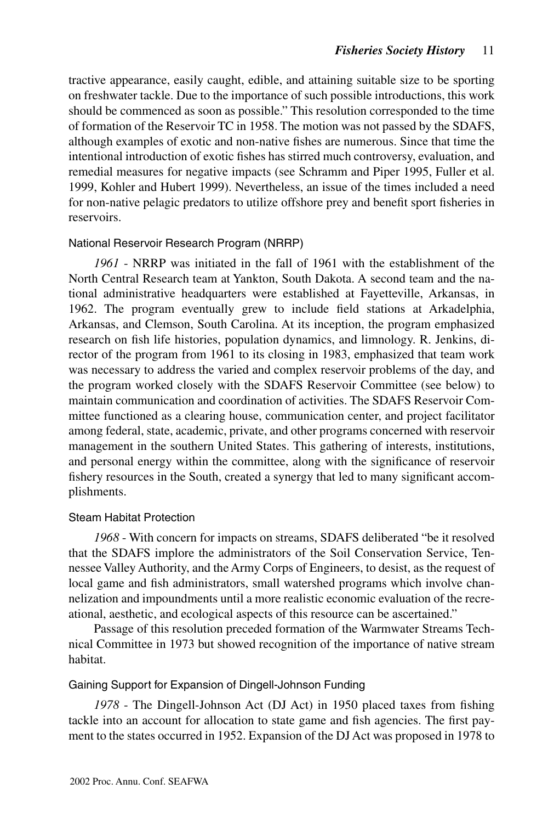tractive appearance, easily caught, edible, and attaining suitable size to be sporting on freshwater tackle. Due to the importance of such possible introductions, this work should be commenced as soon as possible." This resolution corresponded to the time of formation of the Reservoir TC in 1958. The motion was not passed by the SDAFS, although examples of exotic and non-native fishes are numerous. Since that time the intentional introduction of exotic fishes has stirred much controversy, evaluation, and remedial measures for negative impacts (see Schramm and Piper 1995, Fuller et al. 1999, Kohler and Hubert 1999). Nevertheless, an issue of the times included a need for non-native pelagic predators to utilize offshore prey and benefit sport fisheries in reservoirs.

## National Reservoir Research Program (NRRP)

*1961* - NRRP was initiated in the fall of 1961 with the establishment of the North Central Research team at Yankton, South Dakota. A second team and the national administrative headquarters were established at Fayetteville, Arkansas, in 1962. The program eventually grew to include field stations at Arkadelphia, Arkansas, and Clemson, South Carolina. At its inception, the program emphasized research on fish life histories, population dynamics, and limnology. R. Jenkins, director of the program from 1961 to its closing in 1983, emphasized that team work was necessary to address the varied and complex reservoir problems of the day, and the program worked closely with the SDAFS Reservoir Committee (see below) to maintain communication and coordination of activities. The SDAFS Reservoir Committee functioned as a clearing house, communication center, and project facilitator among federal, state, academic, private, and other programs concerned with reservoir management in the southern United States. This gathering of interests, institutions, and personal energy within the committee, along with the significance of reservoir fishery resources in the South, created a synergy that led to many significant accomplishments.

#### Steam Habitat Protection

*1968* - With concern for impacts on streams, SDAFS deliberated "be it resolved that the SDAFS implore the administrators of the Soil Conservation Service, Tennessee Valley Authority, and the Army Corps of Engineers, to desist, as the request of local game and fish administrators, small watershed programs which involve channelization and impoundments until a more realistic economic evaluation of the recreational, aesthetic, and ecological aspects of this resource can be ascertained."

Passage of this resolution preceded formation of the Warmwater Streams Technical Committee in 1973 but showed recognition of the importance of native stream habitat.

#### Gaining Support for Expansion of Dingell-Johnson Funding

*1978* - The Dingell-Johnson Act (DJ Act) in 1950 placed taxes from fishing tackle into an account for allocation to state game and fish agencies. The first payment to the states occurred in 1952. Expansion of the DJ Act was proposed in 1978 to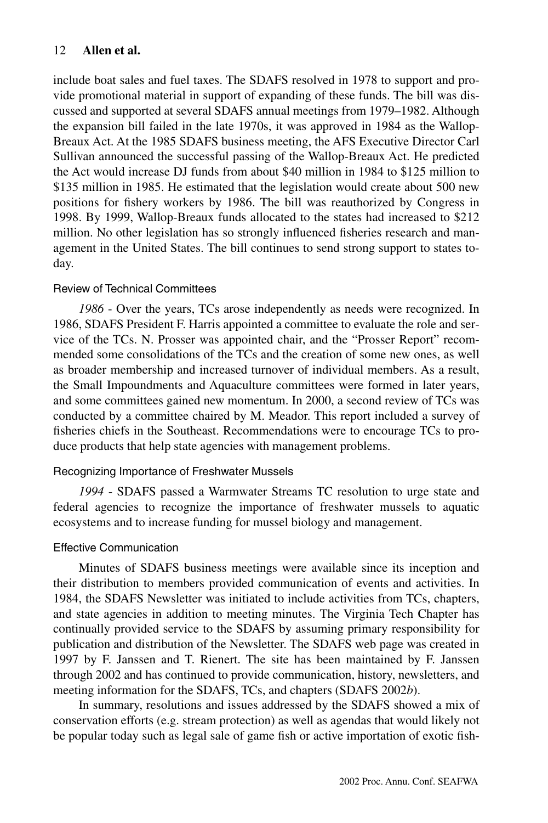include boat sales and fuel taxes. The SDAFS resolved in 1978 to support and provide promotional material in support of expanding of these funds. The bill was discussed and supported at several SDAFS annual meetings from 1979–1982. Although the expansion bill failed in the late 1970s, it was approved in 1984 as the Wallop-Breaux Act. At the 1985 SDAFS business meeting, the AFS Executive Director Carl Sullivan announced the successful passing of the Wallop-Breaux Act. He predicted the Act would increase DJ funds from about \$40 million in 1984 to \$125 million to \$135 million in 1985. He estimated that the legislation would create about 500 new positions for fishery workers by 1986. The bill was reauthorized by Congress in 1998. By 1999, Wallop-Breaux funds allocated to the states had increased to \$212 million. No other legislation has so strongly influenced fisheries research and management in the United States. The bill continues to send strong support to states today.

#### Review of Technical Committees

*1986* - Over the years, TCs arose independently as needs were recognized. In 1986, SDAFS President F. Harris appointed a committee to evaluate the role and service of the TCs. N. Prosser was appointed chair, and the "Prosser Report" recommended some consolidations of the TCs and the creation of some new ones, as well as broader membership and increased turnover of individual members. As a result, the Small Impoundments and Aquaculture committees were formed in later years, and some committees gained new momentum. In 2000, a second review of TCs was conducted by a committee chaired by M. Meador. This report included a survey of fisheries chiefs in the Southeast. Recommendations were to encourage TCs to produce products that help state agencies with management problems.

#### Recognizing Importance of Freshwater Mussels

*1994* - SDAFS passed a Warmwater Streams TC resolution to urge state and federal agencies to recognize the importance of freshwater mussels to aquatic ecosystems and to increase funding for mussel biology and management.

#### Effective Communication

Minutes of SDAFS business meetings were available since its inception and their distribution to members provided communication of events and activities. In 1984, the SDAFS Newsletter was initiated to include activities from TCs, chapters, and state agencies in addition to meeting minutes. The Virginia Tech Chapter has continually provided service to the SDAFS by assuming primary responsibility for publication and distribution of the Newsletter. The SDAFS web page was created in 1997 by F. Janssen and T. Rienert. The site has been maintained by F. Janssen through 2002 and has continued to provide communication, history, newsletters, and meeting information for the SDAFS, TCs, and chapters (SDAFS 2002*b*).

In summary, resolutions and issues addressed by the SDAFS showed a mix of conservation efforts (e.g. stream protection) as well as agendas that would likely not be popular today such as legal sale of game fish or active importation of exotic fish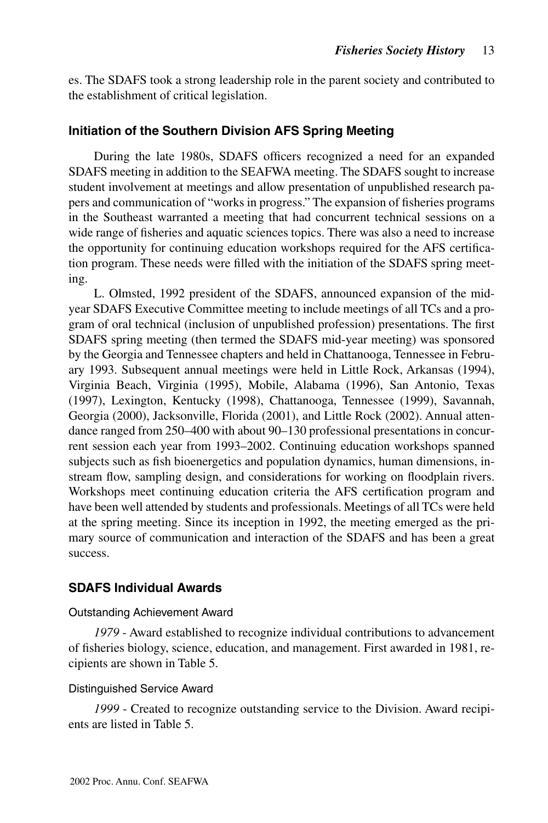es. The SDAFS took a strong leadership role in the parent society and contributed to the establishment of critical legislation.

## **Initiation of the Southern Division AFS Spring Meeting**

During the late 1980s, SDAFS officers recognized a need for an expanded SDAFS meeting in addition to the SEAFWA meeting. The SDAFS sought to increase student involvement at meetings and allow presentation of unpublished research papers and communication of "works in progress." The expansion of fisheries programs in the Southeast warranted a meeting that had concurrent technical sessions on a wide range of fisheries and aquatic sciences topics. There was also a need to increase the opportunity for continuing education workshops required for the AFS certification program. These needs were filled with the initiation of the SDAFS spring meeting.

L. Olmsted, 1992 president of the SDAFS, announced expansion of the midyear SDAFS Executive Committee meeting to include meetings of all TCs and a program of oral technical (inclusion of unpublished profession) presentations. The first SDAFS spring meeting (then termed the SDAFS mid-year meeting) was sponsored by the Georgia and Tennessee chapters and held in Chattanooga, Tennessee in February 1993. Subsequent annual meetings were held in Little Rock, Arkansas (1994), Virginia Beach, Virginia (1995), Mobile, Alabama (1996), San Antonio, Texas (1997), Lexington, Kentucky (1998), Chattanooga, Tennessee (1999), Savannah, Georgia (2000), Jacksonville, Florida (2001), and Little Rock (2002). Annual attendance ranged from 250–400 with about 90–130 professional presentations in concurrent session each year from 1993–2002. Continuing education workshops spanned subjects such as fish bioenergetics and population dynamics, human dimensions, instream flow, sampling design, and considerations for working on floodplain rivers. Workshops meet continuing education criteria the AFS certification program and have been well attended by students and professionals. Meetings of all TCs were held at the spring meeting. Since its inception in 1992, the meeting emerged as the primary source of communication and interaction of the SDAFS and has been a great success.

## **SDAFS Individual Awards**

#### Outstanding Achievement Award

*1979* - Award established to recognize individual contributions to advancement of fisheries biology, science, education, and management. First awarded in 1981, recipients are shown in Table 5.

#### Distinguished Service Award

*1999* - Created to recognize outstanding service to the Division. Award recipients are listed in Table 5.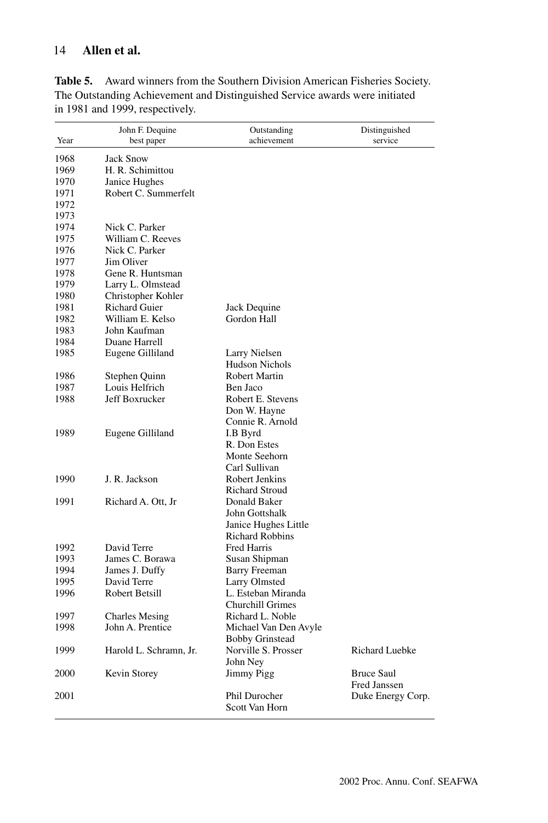|      | John F. Dequine        | Outstanding                                    | Distinguished         |
|------|------------------------|------------------------------------------------|-----------------------|
| Year | best paper             | achievement                                    | service               |
| 1968 | <b>Jack Snow</b>       |                                                |                       |
| 1969 | H. R. Schimittou       |                                                |                       |
| 1970 | Janice Hughes          |                                                |                       |
| 1971 | Robert C. Summerfelt   |                                                |                       |
| 1972 |                        |                                                |                       |
| 1973 |                        |                                                |                       |
| 1974 | Nick C. Parker         |                                                |                       |
| 1975 | William C. Reeves      |                                                |                       |
| 1976 | Nick C. Parker         |                                                |                       |
| 1977 | Jim Oliver             |                                                |                       |
| 1978 | Gene R. Huntsman       |                                                |                       |
| 1979 | Larry L. Olmstead      |                                                |                       |
| 1980 | Christopher Kohler     |                                                |                       |
| 1981 | <b>Richard Guier</b>   | Jack Dequine                                   |                       |
| 1982 | William E. Kelso       | Gordon Hall                                    |                       |
| 1983 | John Kaufman           |                                                |                       |
| 1984 | Duane Harrell          |                                                |                       |
| 1985 | Eugene Gilliland       | Larry Nielsen                                  |                       |
|      |                        | <b>Hudson Nichols</b>                          |                       |
| 1986 | Stephen Quinn          | Robert Martin                                  |                       |
| 1987 | Louis Helfrich         | Ben Jaco                                       |                       |
| 1988 | Jeff Boxrucker         | Robert E. Stevens                              |                       |
|      |                        | Don W. Hayne                                   |                       |
|      |                        | Connie R. Arnold                               |                       |
| 1989 | Eugene Gilliland       | I.B Byrd                                       |                       |
|      |                        | R. Don Estes                                   |                       |
|      |                        | Monte Seehorn                                  |                       |
|      |                        | Carl Sullivan                                  |                       |
| 1990 | J. R. Jackson          | Robert Jenkins                                 |                       |
|      |                        | <b>Richard Stroud</b>                          |                       |
| 1991 | Richard A. Ott, Jr     | Donald Baker                                   |                       |
|      |                        | John Gottshalk                                 |                       |
|      |                        |                                                |                       |
|      |                        | Janice Hughes Little<br><b>Richard Robbins</b> |                       |
|      |                        | <b>Fred Harris</b>                             |                       |
| 1992 | David Terre            |                                                |                       |
| 1993 | James C. Borawa        | Susan Shipman                                  |                       |
| 1994 | James J. Duffy         | <b>Barry Freeman</b>                           |                       |
| 1995 | David Terre            | Larry Olmsted                                  |                       |
| 1996 | Robert Betsill         | L. Esteban Miranda                             |                       |
|      |                        | <b>Churchill Grimes</b>                        |                       |
| 1997 | <b>Charles Mesing</b>  | Richard L. Noble                               |                       |
| 1998 | John A. Prentice       | Michael Van Den Avyle                          |                       |
|      |                        | <b>Bobby Grinstead</b>                         |                       |
| 1999 | Harold L. Schramn, Jr. | Norville S. Prosser                            | <b>Richard Luebke</b> |
|      |                        | John Ney                                       |                       |
| 2000 | Kevin Storey           | Jimmy Pigg                                     | <b>Bruce Saul</b>     |
|      |                        |                                                | Fred Janssen          |
| 2001 |                        | Phil Durocher                                  | Duke Energy Corp.     |
|      |                        | Scott Van Horn                                 |                       |

Table 5. Award winners from the Southern Division American Fisheries Society. The Outstanding Achievement and Distinguished Service awards were initiated in 1981 and 1999, respectively.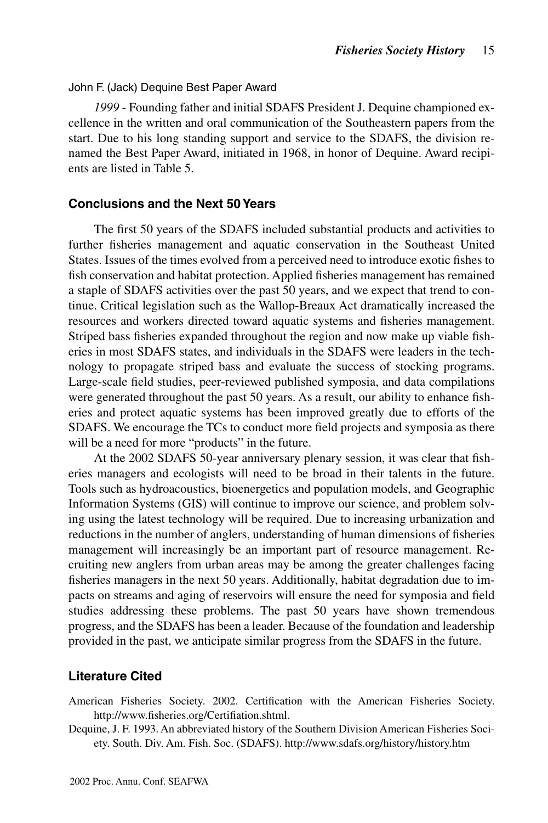#### John F. (Jack) Dequine Best Paper Award

*1999* - Founding father and initial SDAFS President J. Dequine championed excellence in the written and oral communication of the Southeastern papers from the start. Due to his long standing support and service to the SDAFS, the division renamed the Best Paper Award, initiated in 1968, in honor of Dequine. Award recipients are listed in Table 5.

#### **Conclusions and the Next 50 Years**

The first 50 years of the SDAFS included substantial products and activities to further fisheries management and aquatic conservation in the Southeast United States. Issues of the times evolved from a perceived need to introduce exotic fishes to fish conservation and habitat protection. Applied fisheries management has remained a staple of SDAFS activities over the past 50 years, and we expect that trend to continue. Critical legislation such as the Wallop-Breaux Act dramatically increased the resources and workers directed toward aquatic systems and fisheries management. Striped bass fisheries expanded throughout the region and now make up viable fisheries in most SDAFS states, and individuals in the SDAFS were leaders in the technology to propagate striped bass and evaluate the success of stocking programs. Large-scale field studies, peer-reviewed published symposia, and data compilations were generated throughout the past 50 years. As a result, our ability to enhance fisheries and protect aquatic systems has been improved greatly due to efforts of the SDAFS. We encourage the TCs to conduct more field projects and symposia as there will be a need for more "products" in the future.

At the 2002 SDAFS 50-year anniversary plenary session, it was clear that fisheries managers and ecologists will need to be broad in their talents in the future. Tools such as hydroacoustics, bioenergetics and population models, and Geographic Information Systems (GIS) will continue to improve our science, and problem solving using the latest technology will be required. Due to increasing urbanization and reductions in the number of anglers, understanding of human dimensions of fisheries management will increasingly be an important part of resource management. Recruiting new anglers from urban areas may be among the greater challenges facing fisheries managers in the next 50 years. Additionally, habitat degradation due to impacts on streams and aging of reservoirs will ensure the need for symposia and field studies addressing these problems. The past 50 years have shown tremendous progress, and the SDAFS has been a leader. Because of the foundation and leadership provided in the past, we anticipate similar progress from the SDAFS in the future.

## **Literature Cited**

- American Fisheries Society. 2002. Certification with the American Fisheries Society. http://www.fisheries.org/Certifiation.shtml.
- Dequine, J. F. 1993. An abbreviated history of the Southern Division American Fisheries Society. South. Div. Am. Fish. Soc. (SDAFS). http://www.sdafs.org/history/history.htm